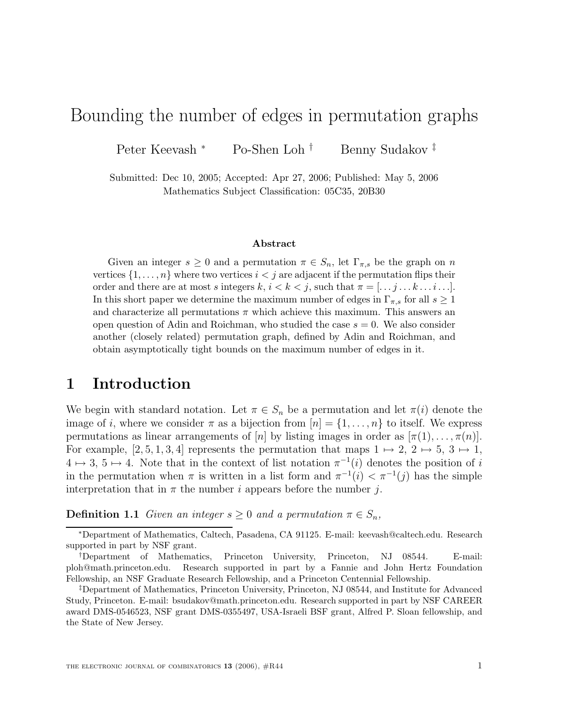# Bounding the number of edges in permutation graphs

Peter Keevash \* Po-Shen Loh <sup>†</sup> Benny Sudakov <sup>‡</sup>

Submitted: Dec 10, 2005; Accepted: Apr 27, 2006; Published: May 5, 2006 Mathematics Subject Classification: 05C35, 20B30

### **Abstract**

Given an integer  $s \geq 0$  and a permutation  $\pi \in S_n$ , let  $\Gamma_{\pi,s}$  be the graph on n vertices  $\{1,\ldots,n\}$  where two vertices  $i < j$  are adjacent if the permutation flips their order and there are at most s integers  $k, i < k < j$ , such that  $\pi = [\ldots j \ldots k \ldots i \ldots].$ In this short paper we determine the maximum number of edges in  $\Gamma_{\pi,s}$  for all  $s \geq 1$ and characterize all permutations  $\pi$  which achieve this maximum. This answers an open question of Adin and Roichman, who studied the case  $s = 0$ . We also consider another (closely related) permutation graph, defined by Adin and Roichman, and obtain asymptotically tight bounds on the maximum number of edges in it.

### **1 Introduction**

We begin with standard notation. Let  $\pi \in S_n$  be a permutation and let  $\pi(i)$  denote the image of i, where we consider  $\pi$  as a bijection from  $[n] = \{1, \ldots, n\}$  to itself. We express permutations as linear arrangements of [n] by listing images in order as  $[\pi(1),\ldots,\pi(n)]$ . For example, [2, 5, 1, 3, 4] represents the permutation that maps  $1 \mapsto 2$ ,  $2 \mapsto 5$ ,  $3 \mapsto 1$ ,  $4 \mapsto 3, 5 \mapsto 4.$  Note that in the context of list notation  $\pi^{-1}(i)$  denotes the position of i in the permutation when  $\pi$  is written in a list form and  $\pi^{-1}(i) < \pi^{-1}(i)$  has the simple interpretation that in  $\pi$  the number *i* appears before the number *j*.

**Definition 1.1** Given an integer  $s \geq 0$  and a permutation  $\pi \in S_n$ ,

<sup>∗</sup>Department of Mathematics, Caltech, Pasadena, CA 91125. E-mail: keevash@caltech.edu. Research supported in part by NSF grant.

<sup>†</sup>Department of Mathematics, Princeton University, Princeton, NJ 08544. E-mail: ploh@math.princeton.edu. Research supported in part by a Fannie and John Hertz Foundation Fellowship, an NSF Graduate Research Fellowship, and a Princeton Centennial Fellowship.

<sup>‡</sup>Department of Mathematics, Princeton University, Princeton, NJ 08544, and Institute for Advanced Study, Princeton. E-mail: bsudakov@math.princeton.edu. Research supported in part by NSF CAREER award DMS-0546523, NSF grant DMS-0355497, USA-Israeli BSF grant, Alfred P. Sloan fellowship, and the State of New Jersey.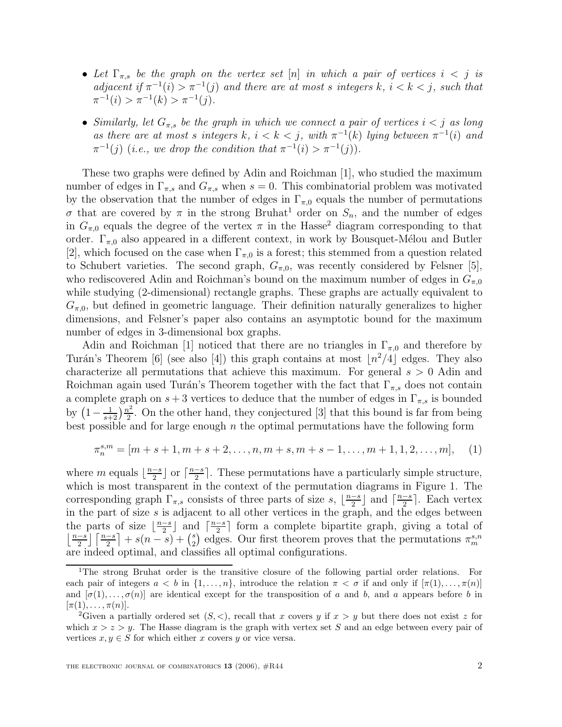- Let  $\Gamma_{\pi,s}$  be the graph on the vertex set [n] in which a pair of vertices  $i < j$  is adjacent if  $\pi^{-1}(i) > \pi^{-1}(j)$  and there are at most s integers k,  $i < k < j$ , such that  $\pi^{-1}(i) > \pi^{-1}(k) > \pi^{-1}(i).$
- Similarly, let  $G_{\pi,s}$  be the graph in which we connect a pair of vertices  $i < j$  as long as there are at most s integers k,  $i < k < j$ , with  $\pi^{-1}(k)$  lying between  $\pi^{-1}(i)$  and  $\pi^{-1}(j)$  (i.e., we drop the condition that  $\pi^{-1}(i) > \pi^{-1}(j)$ ).

These two graphs were defined by Adin and Roichman [1], who studied the maximum number of edges in  $\Gamma_{\pi,s}$  and  $G_{\pi,s}$  when  $s=0$ . This combinatorial problem was motivated by the observation that the number of edges in  $\Gamma_{\pi,0}$  equals the number of permutations σ that are covered by π in the strong Bruhat<sup>1</sup> order on  $S_n$ , and the number of edges in  $G_{\pi,0}$  equals the degree of the vertex  $\pi$  in the Hasse<sup>2</sup> diagram corresponding to that order.  $\Gamma_{\pi,0}$  also appeared in a different context, in work by Bousquet-Mélou and Butler [2], which focused on the case when  $\Gamma_{\pi,0}$  is a forest; this stemmed from a question related to Schubert varieties. The second graph,  $G_{\pi,0}$ , was recently considered by Felsner [5], who rediscovered Adin and Roichman's bound on the maximum number of edges in  $G_{\pi,0}$ while studying (2-dimensional) rectangle graphs. These graphs are actually equivalent to  $G_{\pi,0}$ , but defined in geometric language. Their definition naturally generalizes to higher dimensions, and Felsner's paper also contains an asymptotic bound for the maximum number of edges in 3-dimensional box graphs.

Adin and Roichman [1] noticed that there are no triangles in  $\Gamma_{\pi,0}$  and therefore by Turán's Theorem [6] (see also [4]) this graph contains at most  $\lfloor n^2/4 \rfloor$  edges. They also characterize all permutations that achieve this maximum. For general  $s > 0$  Adin and Roichman again used Turán's Theorem together with the fact that  $\Gamma_{\pi,s}$  does not contain a complete graph on  $s + 3$  vertices to deduce that the number of edges in  $\Gamma_{\pi,s}$  is bounded by  $\left(1-\frac{1}{s+2}\right)\frac{n^2}{2}$ . On the other hand, they conjectured [3] that this bound is far from being best possible and for large enough  $n$  the optimal permutations have the following form

$$
\pi_n^{s,m} = [m+s+1, m+s+2, \dots, n, m+s, m+s-1, \dots, m+1, 1, 2, \dots, m], \quad (1)
$$

where m equals  $\lfloor \frac{n-s}{2} \rfloor$  or  $\lceil \frac{n-s}{2} \rceil$ . These permutations have a particularly simple structure, which is most transparent in the context of the permutation diagrams in Figure 1. The corresponding graph  $\Gamma_{\pi,s}$  consists of three parts of size s,  $\lfloor \frac{n-s}{2} \rfloor$  and  $\lceil \frac{n-s}{2} \rceil$ . Each vertex in the part of size  $s$  is adjacent to all other vertices in the graph, and the edges between the parts of size  $\lfloor \frac{n-s}{2} \rfloor$  and  $\lceil \frac{n-s}{2} \rceil$  form a complete bipartite graph, giving a total of  $\left\lfloor \frac{n-s}{2} \right\rfloor \left\lceil \frac{n-s}{2} \right\rceil + s(n-s) + {s \choose 2}$  edges. Our first theorem proves that the permutations  $\pi_m^{s,n}$ are indeed optimal, and classifies all optimal configurations.

<sup>1</sup>The strong Bruhat order is the transitive closure of the following partial order relations. For each pair of integers  $a < b$  in  $\{1,\ldots,n\}$ , introduce the relation  $\pi < \sigma$  if and only if  $[\pi(1),\ldots,\pi(n)]$ and  $[\sigma(1),...,\sigma(n)]$  are identical except for the transposition of a and b, and a appears before b in  $[\pi(1), \ldots, \pi(n)].$ 

<sup>&</sup>lt;sup>2</sup>Given a partially ordered set  $(S, <)$ , recall that x covers y if  $x > y$  but there does not exist z for which  $x>z\leq u$ . The Hasse diagram is the graph with vertex set S and an edge between every pair of vertices  $x, y \in S$  for which either x covers y or vice versa.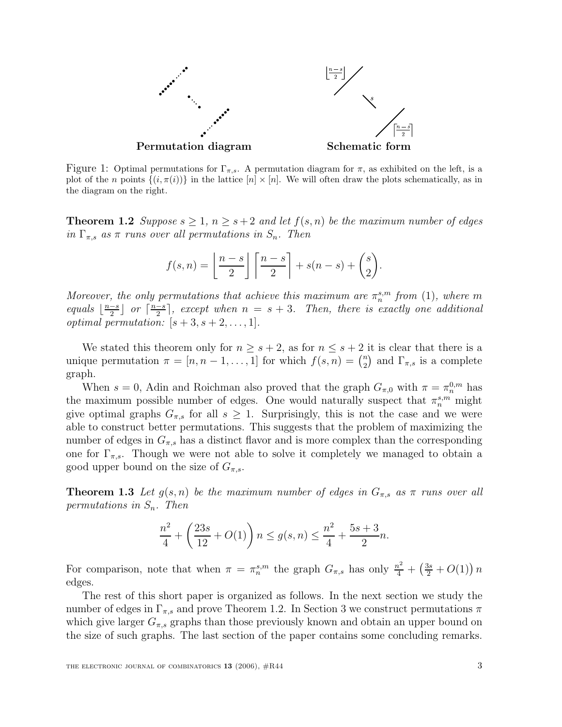

Figure 1: Optimal permutations for  $\Gamma_{\pi,s}$ . A permutation diagram for  $\pi$ , as exhibited on the left, is a plot of the n points  $\{(i, \pi(i))\}$  in the lattice  $[n] \times [n]$ . We will often draw the plots schematically, as in the diagram on the right.

**Theorem 1.2** Suppose  $s \geq 1$ ,  $n \geq s+2$  and let  $f(s, n)$  be the maximum number of edges in  $\Gamma_{\pi,s}$  as  $\pi$  runs over all permutations in  $S_n$ . Then

$$
f(s,n) = \left\lfloor \frac{n-s}{2} \right\rfloor \left\lceil \frac{n-s}{2} \right\rceil + s(n-s) + {s \choose 2}.
$$

Moreover, the only permutations that achieve this maximum are  $\pi_n^{s,m}$  from (1), where m equals  $\lfloor \frac{n-s}{2} \rfloor$  or  $\lceil \frac{n-s}{2} \rceil$ , except when  $n = s + 3$ . Then, there is exactly one additional *optimal permutation:*  $[s+3, s+2, \ldots, 1].$ 

We stated this theorem only for  $n \geq s+2$ , as for  $n \leq s+2$  it is clear that there is a unique permutation  $\pi = [n, n-1, \ldots, 1]$  for which  $f(s, n) = {n \choose 2}$  and  $\Gamma_{\pi, s}$  is a complete graph.

When  $s = 0$ , Adin and Roichman also proved that the graph  $G_{\pi,0}$  with  $\pi = \pi_n^{0,m}$  has the maximum possible number of edges. One would naturally suspect that  $\pi_n^{s,m}$  might give optimal graphs  $G_{\pi,s}$  for all  $s \geq 1$ . Surprisingly, this is not the case and we were able to construct better permutations. This suggests that the problem of maximizing the number of edges in  $G_{\pi,s}$  has a distinct flavor and is more complex than the corresponding one for  $\Gamma_{\pi,s}$ . Though we were not able to solve it completely we managed to obtain a good upper bound on the size of  $G_{\pi,s}$ .

**Theorem 1.3** Let  $g(s, n)$  be the maximum number of edges in  $G_{\pi,s}$  as  $\pi$  runs over all permutations in  $S_n$ . Then

$$
\frac{n^2}{4} + \left(\frac{23s}{12} + O(1)\right)n \le g(s, n) \le \frac{n^2}{4} + \frac{5s + 3}{2}n.
$$

For comparison, note that when  $\pi = \pi_n^{s,m}$  the graph  $G_{\pi,s}$  has only  $\frac{n^2}{4} + (\frac{3s}{2} + O(1))n$ edges.

The rest of this short paper is organized as follows. In the next section we study the number of edges in  $\Gamma_{\pi,s}$  and prove Theorem 1.2. In Section 3 we construct permutations  $\pi$ which give larger  $G_{\pi,s}$  graphs than those previously known and obtain an upper bound on the size of such graphs. The last section of the paper contains some concluding remarks.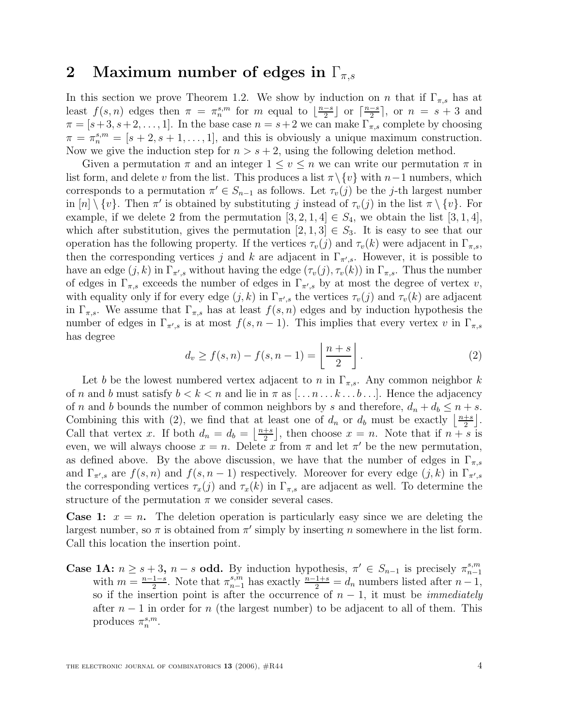### **2** Maximum number of edges in  $\Gamma_{\pi,s}$

In this section we prove Theorem 1.2. We show by induction on n that if  $\Gamma_{\pi,s}$  has at least  $f(s,n)$  edges then  $\pi = \pi_n^{s,m}$  for m equal to  $\lfloor \frac{n-s}{2} \rfloor$  or  $\lceil \frac{n-s}{2} \rceil$ , or  $n = s + 3$  and  $\pi = [s+3, s+2, \ldots, 1].$  In the base case  $n = s+2$  we can make  $\Gamma_{\pi,s}$  complete by choosing  $\pi = \pi_n^{s,m} = [s+2, s+1, \ldots, 1],$  and this is obviously a unique maximum construction. Now we give the induction step for  $n > s + 2$ , using the following deletion method.

Given a permutation  $\pi$  and an integer  $1 \le v \le n$  we can write our permutation  $\pi$  in list form, and delete v from the list. This produces a list  $\pi \setminus \{v\}$  with  $n-1$  numbers, which corresponds to a permutation  $\pi' \in S_{n-1}$  as follows. Let  $\tau_v(j)$  be the j-th largest number in  $[n] \setminus \{v\}$ . Then  $\pi'$  is obtained by substituting j instead of  $\tau_v(j)$  in the list  $\pi \setminus \{v\}$ . For example, if we delete 2 from the permutation  $[3, 2, 1, 4] \in S_4$ , we obtain the list  $[3, 1, 4]$ , which after substitution, gives the permutation  $[2, 1, 3] \in S_3$ . It is easy to see that our operation has the following property. If the vertices  $\tau_v(j)$  and  $\tau_v(k)$  were adjacent in  $\Gamma_{\pi,s}$ , then the corresponding vertices j and k are adjacent in  $\Gamma_{\pi,s}$ . However, it is possible to have an edge  $(j, k)$  in  $\Gamma_{\pi,s}$  without having the edge  $(\tau_v(j), \tau_v(k))$  in  $\Gamma_{\pi,s}$ . Thus the number of edges in  $\Gamma_{\pi,s}$  exceeds the number of edges in  $\Gamma_{\pi',s}$  by at most the degree of vertex v, with equality only if for every edge  $(j, k)$  in  $\Gamma_{\pi,s}$  the vertices  $\tau_v(j)$  and  $\tau_v(k)$  are adjacent in  $\Gamma_{\pi,s}$ . We assume that  $\Gamma_{\pi,s}$  has at least  $f(s,n)$  edges and by induction hypothesis the number of edges in  $\Gamma_{\pi,s}$  is at most  $f(s, n-1)$ . This implies that every vertex v in  $\Gamma_{\pi,s}$ has degree

$$
d_v \ge f(s, n) - f(s, n - 1) = \left\lfloor \frac{n + s}{2} \right\rfloor.
$$
 (2)

Let b be the lowest numbered vertex adjacent to n in  $\Gamma_{\pi,s}$ . Any common neighbor k of n and b must satisfy  $b < k < n$  and lie in  $\pi$  as  $[\ldots n \ldots k \ldots b \ldots]$ . Hence the adjacency of n and b bounds the number of common neighbors by s and therefore,  $d_n + d_b \leq n + s$ . Combining this with (2), we find that at least one of  $d_n$  or  $d_b$  must be exactly  $\left\lfloor \frac{n+s}{2} \right\rfloor$ . Call that vertex x. If both  $d_n = d_b = \left\lfloor \frac{n+s}{2} \right\rfloor$ , then choose  $x = n$ . Note that if  $n+s$  is even, we will always choose  $x = n$ . Delete x from  $\pi$  and let  $\pi'$  be the new permutation, as defined above. By the above discussion, we have that the number of edges in  $\Gamma_{\pi,s}$ and  $\Gamma_{\pi',s}$  are  $f(s, n)$  and  $f(s, n - 1)$  respectively. Moreover for every edge  $(j, k)$  in  $\Gamma_{\pi',s}$ the corresponding vertices  $\tau_x(j)$  and  $\tau_x(k)$  in  $\Gamma_{\pi,s}$  are adjacent as well. To determine the structure of the permutation  $\pi$  we consider several cases.

**Case 1:**  $x = n$ . The deletion operation is particularly easy since we are deleting the largest number, so  $\pi$  is obtained from  $\pi'$  simply by inserting n somewhere in the list form. Call this location the insertion point.

**Case 1A:**  $n \geq s+3$ ,  $n-s$  **odd.** By induction hypothesis,  $\pi' \in S_{n-1}$  is precisely  $\pi_{n-1}^{s,m}$ with  $m = \frac{n-1-s}{2}$ . Note that  $\pi_{n-1}^{s,m}$  has exactly  $\frac{n-1+s}{2} = d_n$  numbers listed after  $n-1$ , so if the insertion point is after the occurrence of  $n-1$ , it must be *immediately* after  $n-1$  in order for n (the largest number) to be adjacent to all of them. This produces  $\pi_n^{s,m}$ .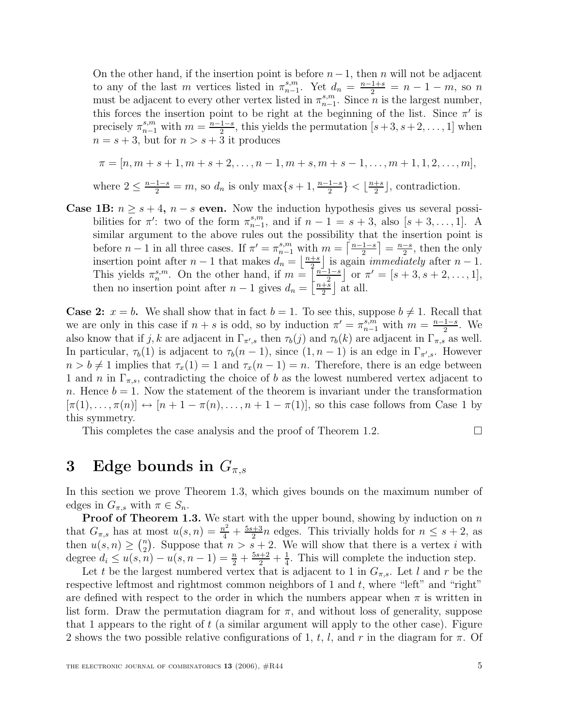On the other hand, if the insertion point is before  $n-1$ , then n will not be adjacent to any of the last m vertices listed in  $\pi_{n-1}^{s,m}$ . Yet  $d_n = \frac{n-1+s}{2} = n-1-m$ , so n must be adjacent to every other vertex listed in  $\pi_{n-1}^{s,m}$ . Since *n* is the largest number, this forces the insertion point to be right at the beginning of the list. Since  $\pi'$  is precisely  $\pi_{n-1}^{s,m}$  with  $m = \frac{n-1-s}{2}$ , this yields the permutation  $[s+3, s+2, \ldots, 1]$  when  $n = s + 3$ , but for  $n > s + 3$  it produces

$$
\pi = [n, m + s + 1, m + s + 2, \dots, n - 1, m + s, m + s - 1, \dots, m + 1, 1, 2, \dots, m],
$$
  
where  $2 \le \frac{n-1-s}{2} = m$ , so  $d_n$  is only  $\max\{s + 1, \frac{n-1-s}{2}\} < \lfloor \frac{n+s}{2} \rfloor$ , contradiction.

**Case 1B:**  $n \geq s + 4$ ,  $n - s$  **even.** Now the induction hypothesis gives us several possibilities for  $\pi'$ : two of the form  $\pi^{s,m}_{n-1}$ , and if  $n-1 = s+3$ , also  $[s+3,\ldots,1]$ . A similar argument to the above rules out the possibility that the insertion point is before  $n-1$  in all three cases. If  $\pi' = \pi^{s,m}_{n-1}$  with  $m = \left\lceil \frac{n-1-s}{2} \right\rceil = \frac{n-s}{2}$ , then the only insertion point after  $n-1$  that makes  $d_n = \left\lfloor \frac{n+s}{2} \right\rfloor$  is again *immediately* after  $n-1$ . This yields  $\pi_n^{s,m}$ . On the other hand, if  $m = \left[\frac{n-1-s}{2}\right]$  or  $\pi' = [s+3, s+2, \ldots, 1],$ then no insertion point after  $n-1$  gives  $d_n = \left[\frac{n+\overline{s}}{2}\right]$  at all.

**Case 2:**  $x = b$ . We shall show that in fact  $b = 1$ . To see this, suppose  $b \neq 1$ . Recall that we are only in this case if  $n + s$  is odd, so by induction  $\pi' = \pi_{n-1}^{s,m}$  with  $m = \frac{n-1-s}{2}$ . We also know that if j, k are adjacent in  $\Gamma_{\pi,s}$  then  $\tau_b(j)$  and  $\tau_b(k)$  are adjacent in  $\Gamma_{\pi,s}$  as well. In particular,  $\tau_b(1)$  is adjacent to  $\tau_b(n-1)$ , since  $(1, n-1)$  is an edge in  $\Gamma_{\pi',s}$ . However  $n>b \neq 1$  implies that  $\tau_x(1) = 1$  and  $\tau_x(n-1) = n$ . Therefore, there is an edge between 1 and n in  $\Gamma_{\pi,s}$ , contradicting the choice of b as the lowest numbered vertex adjacent to n. Hence  $b = 1$ . Now the statement of the theorem is invariant under the transformation  $[\pi(1),\ldots,\pi(n)] \leftrightarrow [n+1-\pi(n),\ldots,n+1-\pi(1)]$ , so this case follows from Case 1 by this symmetry.

This completes the case analysis and the proof of Theorem 1.2.  $\Box$ 

## **3** Edge bounds in  $G_{\pi,s}$

In this section we prove Theorem 1.3, which gives bounds on the maximum number of edges in  $G_{\pi,s}$  with  $\pi \in S_n$ .

**Proof of Theorem 1.3.** We start with the upper bound, showing by induction on n that  $G_{\pi,s}$  has at most  $u(s,n) = \frac{n^2}{4} + \frac{5s+3}{2}n$  edges. This trivially holds for  $n \leq s+2$ , as then  $u(s, n) \geq {n \choose 2}$ . Suppose that  $n > s + 2$ . We will show that there is a vertex i with degree  $d_i \le u(s, n) - u(s, n-1) = \frac{n}{2} + \frac{5s+2}{2} + \frac{1}{4}$ . This will complete the induction step.

Let t be the largest numbered vertex that is adjacent to 1 in  $G_{\pi,s}$ . Let l and r be the respective leftmost and rightmost common neighbors of 1 and  $t$ , where "left" and "right" are defined with respect to the order in which the numbers appear when  $\pi$  is written in list form. Draw the permutation diagram for  $\pi$ , and without loss of generality, suppose that 1 appears to the right of  $t$  (a similar argument will apply to the other case). Figure 2 shows the two possible relative configurations of 1, t, l, and r in the diagram for  $\pi$ . Of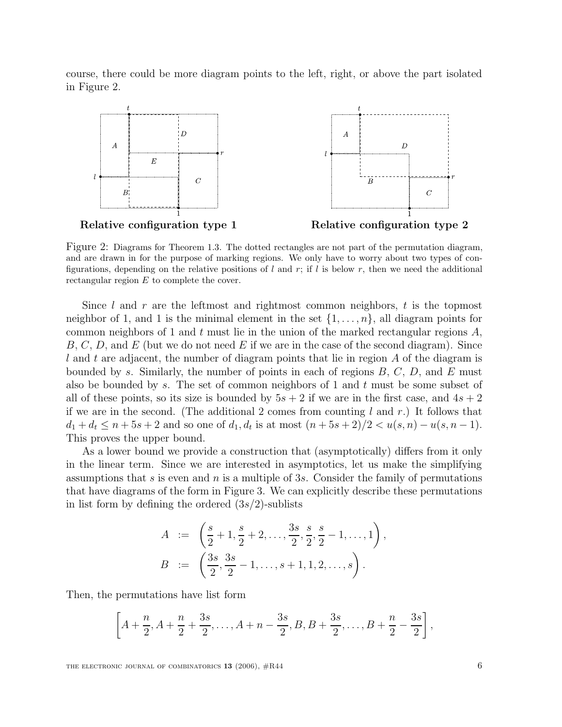course, there could be more diagram points to the left, right, or above the part isolated in Figure 2.



Figure 2: Diagrams for Theorem 1.3. The dotted rectangles are not part of the permutation diagram, and are drawn in for the purpose of marking regions. We only have to worry about two types of configurations, depending on the relative positions of l and r; if l is below r, then we need the additional rectangular region E to complete the cover.

Since l and r are the leftmost and rightmost common neighbors, t is the topmost neighbor of 1, and 1 is the minimal element in the set  $\{1,\ldots,n\}$ , all diagram points for common neighbors of 1 and t must lie in the union of the marked rectangular regions  $A$ ,  $B, C, D$ , and E (but we do not need E if we are in the case of the second diagram). Since l and t are adjacent, the number of diagram points that lie in region A of the diagram is bounded by s. Similarly, the number of points in each of regions  $B, C, D$ , and E must also be bounded by s. The set of common neighbors of 1 and  $t$  must be some subset of all of these points, so its size is bounded by  $5s + 2$  if we are in the first case, and  $4s + 2$ if we are in the second. (The additional 2 comes from counting l and r.) It follows that  $d_1 + d_t \leq n + 5s + 2$  and so one of  $d_1, d_t$  is at most  $(n + 5s + 2)/2 < u(s, n) - u(s, n - 1)$ . This proves the upper bound.

As a lower bound we provide a construction that (asymptotically) differs from it only in the linear term. Since we are interested in asymptotics, let us make the simplifying assumptions that s is even and n is a multiple of 3s. Consider the family of permutations that have diagrams of the form in Figure 3. We can explicitly describe these permutations in list form by defining the ordered  $(3s/2)$ -sublists

$$
A := \left(\frac{s}{2} + 1, \frac{s}{2} + 2, \dots, \frac{3s}{2}, \frac{s}{2}, \frac{s}{2} - 1, \dots, 1\right),
$$
  

$$
B := \left(\frac{3s}{2}, \frac{3s}{2} - 1, \dots, s + 1, 1, 2, \dots, s\right).
$$

Then, the permutations have list form

$$
\left[A+\frac{n}{2},A+\frac{n}{2}+\frac{3s}{2},\ldots,A+n-\frac{3s}{2},B,B+\frac{3s}{2},\ldots,B+\frac{n}{2}-\frac{3s}{2}\right],
$$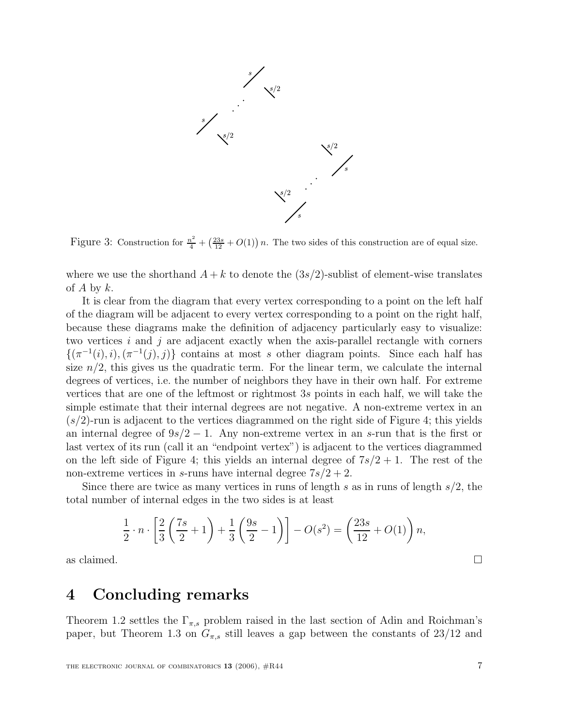

Figure 3: Construction for  $\frac{n^2}{4} + (\frac{23s}{12} + O(1)) n$ . The two sides of this construction are of equal size.

where we use the shorthand  $A + k$  to denote the  $(3s/2)$ -sublist of element-wise translates of A by  $k$ .

It is clear from the diagram that every vertex corresponding to a point on the left half of the diagram will be adjacent to every vertex corresponding to a point on the right half, because these diagrams make the definition of adjacency particularly easy to visualize: two vertices  $i$  and  $j$  are adjacent exactly when the axis-parallel rectangle with corners  $\{(\pi^{-1}(i), i), (\pi^{-1}(i), i)\}\)$  contains at most s other diagram points. Since each half has size  $n/2$ , this gives us the quadratic term. For the linear term, we calculate the internal degrees of vertices, i.e. the number of neighbors they have in their own half. For extreme vertices that are one of the leftmost or rightmost 3s points in each half, we will take the simple estimate that their internal degrees are not negative. A non-extreme vertex in an  $(s/2)$ -run is adjacent to the vertices diagrammed on the right side of Figure 4; this yields an internal degree of  $9s/2 - 1$ . Any non-extreme vertex in an s-run that is the first or last vertex of its run (call it an "endpoint vertex") is adjacent to the vertices diagrammed on the left side of Figure 4; this yields an internal degree of  $7s/2 + 1$ . The rest of the non-extreme vertices in s-runs have internal degree  $7s/2 + 2$ .

Since there are twice as many vertices in runs of length s as in runs of length  $s/2$ , the total number of internal edges in the two sides is at least

$$
\frac{1}{2} \cdot n \cdot \left[ \frac{2}{3} \left( \frac{7s}{2} + 1 \right) + \frac{1}{3} \left( \frac{9s}{2} - 1 \right) \right] - O(s^2) = \left( \frac{23s}{12} + O(1) \right) n,
$$

as claimed.  $\Box$ 

### **4 Concluding remarks**

Theorem 1.2 settles the  $\Gamma_{\pi,s}$  problem raised in the last section of Adin and Roichman's paper, but Theorem 1.3 on  $G_{\pi,s}$  still leaves a gap between the constants of 23/12 and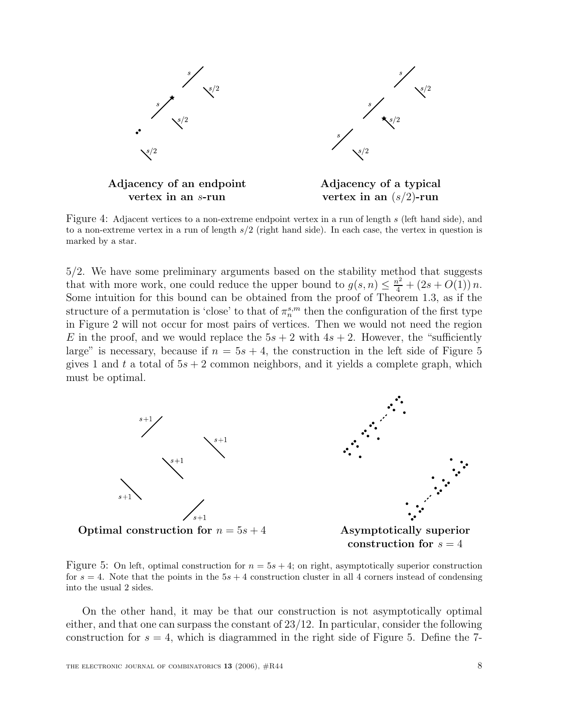

Figure 4: Adjacent vertices to a non-extreme endpoint vertex in a run of length s (left hand side), and to a non-extreme vertex in a run of length  $s/2$  (right hand side). In each case, the vertex in question is marked by a star.

5/2. We have some preliminary arguments based on the stability method that suggests that with more work, one could reduce the upper bound to  $g(s, n) \leq \frac{n^2}{4} + (2s + O(1)) n$ . Some intuition for this bound can be obtained from the proof of Theorem 1.3, as if the structure of a permutation is 'close' to that of  $\pi_n^{s,m}$  then the configuration of the first type in Figure 2 will not occur for most pairs of vertices. Then we would not need the region E in the proof, and we would replace the  $5s + 2$  with  $4s + 2$ . However, the "sufficiently" large" is necessary, because if  $n = 5s + 4$ , the construction in the left side of Figure 5 gives 1 and t a total of  $5s + 2$  common neighbors, and it yields a complete graph, which must be optimal.



**construction for**  $s = 4$ 

Figure 5: On left, optimal construction for  $n = 5s + 4$ ; on right, asymptotically superior construction for  $s = 4$ . Note that the points in the  $5s + 4$  construction cluster in all 4 corners instead of condensing into the usual 2 sides.

On the other hand, it may be that our construction is not asymptotically optimal either, and that one can surpass the constant of  $23/12$ . In particular, consider the following construction for  $s = 4$ , which is diagrammed in the right side of Figure 5. Define the 7